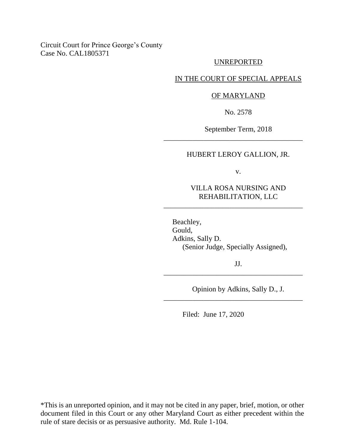## Circuit Court for Prince George's County Case No. CAL1805371

### UNREPORTED

### IN THE COURT OF SPECIAL APPEALS

#### OF MARYLAND

No. 2578

September Term, 2018

\_\_\_\_\_\_\_\_\_\_\_\_\_\_\_\_\_\_\_\_\_\_\_\_\_\_\_\_\_\_\_\_\_\_\_\_\_\_

# HUBERT LEROY GALLION, JR.

v.

## VILLA ROSA NURSING AND REHABILITATION, LLC

\_\_\_\_\_\_\_\_\_\_\_\_\_\_\_\_\_\_\_\_\_\_\_\_\_\_\_\_\_\_\_\_\_\_\_\_\_\_

Beachley, Gould, Adkins, Sally D. (Senior Judge, Specially Assigned),

JJ.

\_\_\_\_\_\_\_\_\_\_\_\_\_\_\_\_\_\_\_\_\_\_\_\_\_\_\_\_\_\_\_\_\_\_\_\_\_\_

\_\_\_\_\_\_\_\_\_\_\_\_\_\_\_\_\_\_\_\_\_\_\_\_\_\_\_\_\_\_\_\_\_\_\_\_\_\_

Opinion by Adkins, Sally D., J.

Filed: June 17, 2020

\*This is an unreported opinion, and it may not be cited in any paper, brief, motion, or other document filed in this Court or any other Maryland Court as either precedent within the rule of stare decisis or as persuasive authority. Md. Rule 1-104.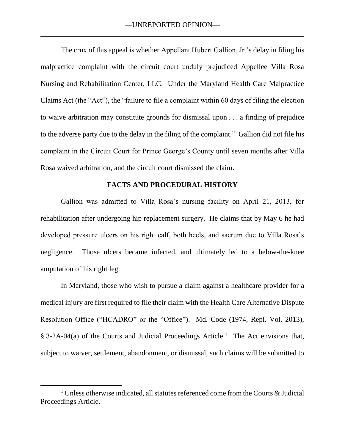The crux of this appeal is whether Appellant Hubert Gallion, Jr.'s delay in filing his malpractice complaint with the circuit court unduly prejudiced Appellee Villa Rosa Nursing and Rehabilitation Center, LLC. Under the Maryland Health Care Malpractice Claims Act (the "Act"), the "failure to file a complaint within 60 days of filing the election to waive arbitration may constitute grounds for dismissal upon . . . a finding of prejudice to the adverse party due to the delay in the filing of the complaint." Gallion did not file his complaint in the Circuit Court for Prince George's County until seven months after Villa Rosa waived arbitration, and the circuit court dismissed the claim.

#### **FACTS AND PROCEDURAL HISTORY**

Gallion was admitted to Villa Rosa's nursing facility on April 21, 2013, for rehabilitation after undergoing hip replacement surgery. He claims that by May 6 he had developed pressure ulcers on his right calf, both heels, and sacrum due to Villa Rosa's negligence. Those ulcers became infected, and ultimately led to a below-the-knee amputation of his right leg.

In Maryland, those who wish to pursue a claim against a healthcare provider for a medical injury are first required to file their claim with the Health Care Alternative Dispute Resolution Office ("HCADRO" or the "Office"). Md. Code (1974, Repl. Vol. 2013), § 3-2A-04(a) of the Courts and Judicial Proceedings Article.<sup>1</sup> The Act envisions that, subject to waiver, settlement, abandonment, or dismissal, such claims will be submitted to

 $\overline{a}$ 

 $1$  Unless otherwise indicated, all statutes referenced come from the Courts  $\&$  Judicial Proceedings Article.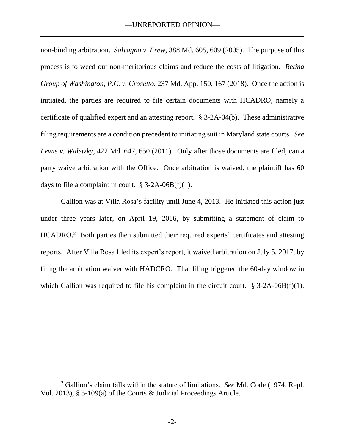non-binding arbitration. *Salvagno v. Frew*, 388 Md. 605, 609 (2005). The purpose of this process is to weed out non-meritorious claims and reduce the costs of litigation. *Retina Group of Washington, P.C. v. Crosetto*, 237 Md. App. 150, 167 (2018). Once the action is initiated, the parties are required to file certain documents with HCADRO, namely a certificate of qualified expert and an attesting report. § 3-2A-04(b). These administrative filing requirements are a condition precedent to initiating suit in Maryland state courts. *See Lewis v. Waletzky*, 422 Md. 647, 650 (2011). Only after those documents are filed, can a party waive arbitration with the Office. Once arbitration is waived, the plaintiff has 60 days to file a complaint in court.  $\S$  3-2A-06B(f)(1).

Gallion was at Villa Rosa's facility until June 4, 2013. He initiated this action just under three years later, on April 19, 2016, by submitting a statement of claim to HCADRO.<sup>2</sup> Both parties then submitted their required experts' certificates and attesting reports. After Villa Rosa filed its expert's report, it waived arbitration on July 5, 2017, by filing the arbitration waiver with HADCRO. That filing triggered the 60-day window in which Gallion was required to file his complaint in the circuit court.  $§ 3-2A-06B(f)(1)$ .

 $\overline{a}$ 

<sup>2</sup> Gallion's claim falls within the statute of limitations. *See* Md. Code (1974, Repl. Vol. 2013), § 5-109(a) of the Courts & Judicial Proceedings Article.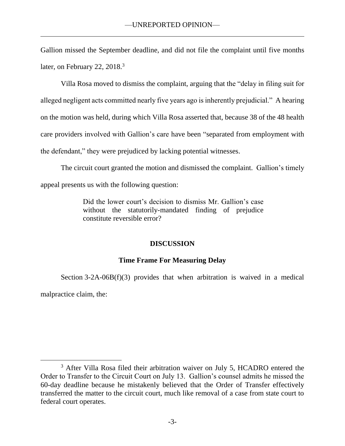Gallion missed the September deadline, and did not file the complaint until five months later, on February 22, 2018.<sup>3</sup>

Villa Rosa moved to dismiss the complaint, arguing that the "delay in filing suit for alleged negligent acts committed nearly five years ago is inherently prejudicial." A hearing on the motion was held, during which Villa Rosa asserted that, because 38 of the 48 health care providers involved with Gallion's care have been "separated from employment with the defendant," they were prejudiced by lacking potential witnesses.

The circuit court granted the motion and dismissed the complaint. Gallion's timely appeal presents us with the following question:

> Did the lower court's decision to dismiss Mr. Gallion's case without the statutorily-mandated finding of prejudice constitute reversible error?

# **DISCUSSION**

# **Time Frame For Measuring Delay**

Section  $3-2A-06B(f)(3)$  provides that when arbitration is waived in a medical malpractice claim, the:

<sup>&</sup>lt;sup>3</sup> After Villa Rosa filed their arbitration waiver on July 5, HCADRO entered the Order to Transfer to the Circuit Court on July 13. Gallion's counsel admits he missed the 60-day deadline because he mistakenly believed that the Order of Transfer effectively transferred the matter to the circuit court, much like removal of a case from state court to federal court operates.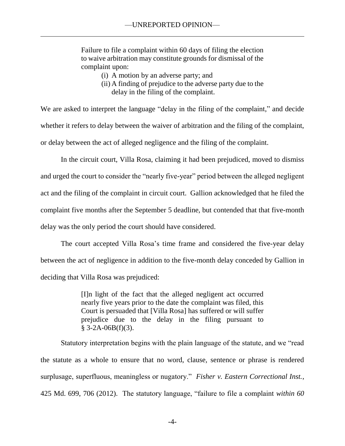Failure to file a complaint within 60 days of filing the election to waive arbitration may constitute grounds for dismissal of the complaint upon:

- (i) A motion by an adverse party; and
- (ii) A finding of prejudice to the adverse party due to the delay in the filing of the complaint.

We are asked to interpret the language "delay in the filing of the complaint," and decide whether it refers to delay between the waiver of arbitration and the filing of the complaint, or delay between the act of alleged negligence and the filing of the complaint.

In the circuit court, Villa Rosa, claiming it had been prejudiced, moved to dismiss and urged the court to consider the "nearly five-year" period between the alleged negligent act and the filing of the complaint in circuit court. Gallion acknowledged that he filed the complaint five months after the September 5 deadline, but contended that that five-month delay was the only period the court should have considered.

The court accepted Villa Rosa's time frame and considered the five-year delay between the act of negligence in addition to the five-month delay conceded by Gallion in deciding that Villa Rosa was prejudiced:

> [I]n light of the fact that the alleged negligent act occurred nearly five years prior to the date the complaint was filed, this Court is persuaded that [Villa Rosa] has suffered or will suffer prejudice due to the delay in the filing pursuant to  $§ 3-2A-06B(f)(3).$

Statutory interpretation begins with the plain language of the statute, and we "read the statute as a whole to ensure that no word, clause, sentence or phrase is rendered surplusage, superfluous, meaningless or nugatory." *Fisher v. Eastern Correctional Inst.*, 425 Md. 699, 706 (2012). The statutory language, "failure to file a complaint *within 60*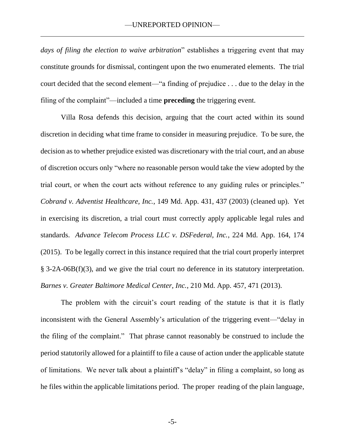*days of filing the election to waive arbitration*" establishes a triggering event that may constitute grounds for dismissal, contingent upon the two enumerated elements. The trial court decided that the second element—"a finding of prejudice . . . due to the delay in the filing of the complaint"—included a time **preceding** the triggering event.

Villa Rosa defends this decision, arguing that the court acted within its sound discretion in deciding what time frame to consider in measuring prejudice. To be sure, the decision as to whether prejudice existed was discretionary with the trial court, and an abuse of discretion occurs only "where no reasonable person would take the view adopted by the trial court, or when the court acts without reference to any guiding rules or principles." *Cobrand v. Adventist Healthcare, Inc.*, 149 Md. App. 431, 437 (2003) (cleaned up). Yet in exercising its discretion, a trial court must correctly apply applicable legal rules and standards. *Advance Telecom Process LLC v. DSFederal, Inc.*, 224 Md. App. 164, 174 (2015). To be legally correct in this instance required that the trial court properly interpret § 3-2A-06B(f)(3), and we give the trial court no deference in its statutory interpretation. *Barnes v. Greater Baltimore Medical Center, Inc.*, 210 Md. App. 457, 471 (2013).

The problem with the circuit's court reading of the statute is that it is flatly inconsistent with the General Assembly's articulation of the triggering event—"delay in the filing of the complaint." That phrase cannot reasonably be construed to include the period statutorily allowed for a plaintiff to file a cause of action under the applicable statute of limitations. We never talk about a plaintiff's "delay" in filing a complaint, so long as he files within the applicable limitations period. The proper reading of the plain language,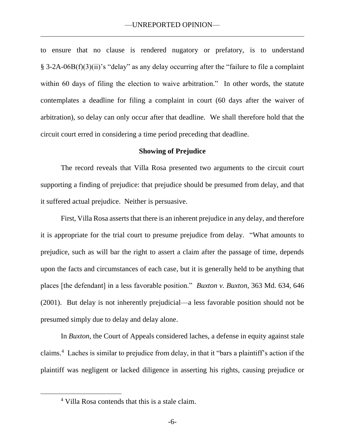to ensure that no clause is rendered nugatory or prefatory, is to understand § 3-2A-06B(f)(3)(ii)'s "delay" as any delay occurring after the "failure to file a complaint within 60 days of filing the election to waive arbitration." In other words, the statute contemplates a deadline for filing a complaint in court (60 days after the waiver of arbitration), so delay can only occur after that deadline. We shall therefore hold that the circuit court erred in considering a time period preceding that deadline.

#### **Showing of Prejudice**

The record reveals that Villa Rosa presented two arguments to the circuit court supporting a finding of prejudice: that prejudice should be presumed from delay, and that it suffered actual prejudice. Neither is persuasive.

First, Villa Rosa asserts that there is an inherent prejudice in any delay, and therefore it is appropriate for the trial court to presume prejudice from delay. "What amounts to prejudice, such as will bar the right to assert a claim after the passage of time, depends upon the facts and circumstances of each case, but it is generally held to be anything that places [the defendant] in a less favorable position." *Buxton v. Buxton*, 363 Md. 634, 646 (2001). But delay is not inherently prejudicial—a less favorable position should not be presumed simply due to delay and delay alone.

In *Buxton*, the Court of Appeals considered laches, a defense in equity against stale claims.<sup>4</sup> Laches is similar to prejudice from delay, in that it "bars a plaintiff's action if the plaintiff was negligent or lacked diligence in asserting his rights, causing prejudice or

 $\overline{a}$ 

<sup>4</sup> Villa Rosa contends that this is a stale claim.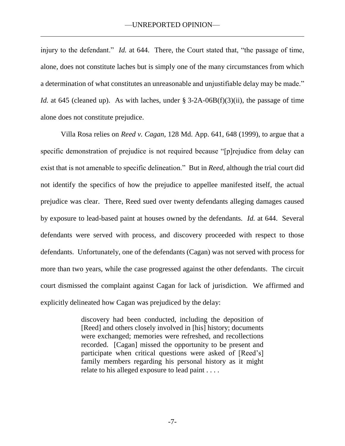injury to the defendant." *Id.* at 644. There, the Court stated that, "the passage of time, alone, does not constitute laches but is simply one of the many circumstances from which a determination of what constitutes an unreasonable and unjustifiable delay may be made." *Id.* at 645 (cleaned up). As with laches, under § 3-2A-06B(f)(3)(ii), the passage of time alone does not constitute prejudice.

Villa Rosa relies on *Reed v. Cagan*, 128 Md. App. 641, 648 (1999), to argue that a specific demonstration of prejudice is not required because "[p]rejudice from delay can exist that is not amenable to specific delineation." But in *Reed*, although the trial court did not identify the specifics of how the prejudice to appellee manifested itself, the actual prejudice was clear. There, Reed sued over twenty defendants alleging damages caused by exposure to lead-based paint at houses owned by the defendants. *Id.* at 644. Several defendants were served with process, and discovery proceeded with respect to those defendants. Unfortunately, one of the defendants (Cagan) was not served with process for more than two years, while the case progressed against the other defendants. The circuit court dismissed the complaint against Cagan for lack of jurisdiction. We affirmed and explicitly delineated how Cagan was prejudiced by the delay:

> discovery had been conducted, including the deposition of [Reed] and others closely involved in [his] history; documents were exchanged; memories were refreshed, and recollections recorded. [Cagan] missed the opportunity to be present and participate when critical questions were asked of [Reed's] family members regarding his personal history as it might relate to his alleged exposure to lead paint . . . .

> > -7-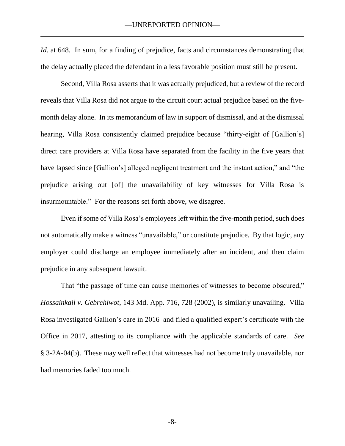*Id.* at 648. In sum, for a finding of prejudice, facts and circumstances demonstrating that the delay actually placed the defendant in a less favorable position must still be present.

Second, Villa Rosa asserts that it was actually prejudiced, but a review of the record reveals that Villa Rosa did not argue to the circuit court actual prejudice based on the fivemonth delay alone. In its memorandum of law in support of dismissal, and at the dismissal hearing, Villa Rosa consistently claimed prejudice because "thirty-eight of [Gallion's] direct care providers at Villa Rosa have separated from the facility in the five years that have lapsed since [Gallion's] alleged negligent treatment and the instant action," and "the prejudice arising out [of] the unavailability of key witnesses for Villa Rosa is insurmountable." For the reasons set forth above, we disagree.

Even if some of Villa Rosa's employees left within the five-month period, such does not automatically make a witness "unavailable," or constitute prejudice. By that logic, any employer could discharge an employee immediately after an incident, and then claim prejudice in any subsequent lawsuit.

That "the passage of time can cause memories of witnesses to become obscured," *Hossainkail v. Gebrehiwot*, 143 Md. App. 716, 728 (2002), is similarly unavailing. Villa Rosa investigated Gallion's care in 2016 and filed a qualified expert's certificate with the Office in 2017, attesting to its compliance with the applicable standards of care. *See* § 3-2A-04(b). These may well reflect that witnesses had not become truly unavailable, nor had memories faded too much.